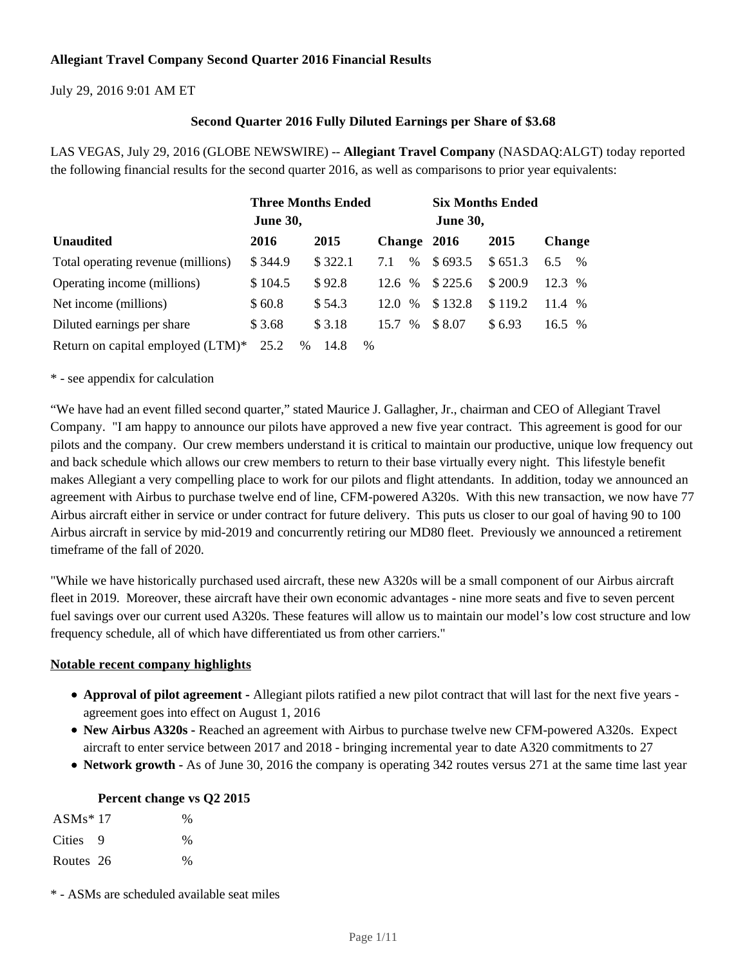# **Allegiant Travel Company Second Quarter 2016 Financial Results**

July 29, 2016 9:01 AM ET

## **Second Quarter 2016 Fully Diluted Earnings per Share of \$3.68**

LAS VEGAS, July 29, 2016 (GLOBE NEWSWIRE) -- **Allegiant Travel Company** (NASDAQ:ALGT) today reported the following financial results for the second quarter 2016, as well as comparisons to prior year equivalents:

|                                    |         | <b>Three Months Ended</b><br><b>Six Months Ended</b><br><b>June 30,</b><br><b>June 30,</b> |              |         |         |               |  |
|------------------------------------|---------|--------------------------------------------------------------------------------------------|--------------|---------|---------|---------------|--|
| <b>Unaudited</b>                   | 2016    | 2015                                                                                       | Change 2016  |         | 2015    | <b>Change</b> |  |
| Total operating revenue (millions) | \$344.9 | \$322.1                                                                                    | $\%$<br>7.1  | \$693.5 | \$651.3 | 6.5<br>$\%$   |  |
| Operating income (millions)        | \$104.5 | \$92.8                                                                                     | 12.6 %       | \$225.6 | \$200.9 | $12.3\%$      |  |
| Net income (millions)              | \$60.8  | \$54.3                                                                                     | 12.0<br>$\%$ | \$132.8 | \$119.2 | 11.4 %        |  |
| Diluted earnings per share         | \$3.68  | \$3.18                                                                                     | 15.7<br>$\%$ | \$8.07  | \$6.93  | $16.5\%$      |  |
| Return on capital employed (LTM)*  | 25.2    | 14.8<br>$\frac{0}{0}$<br>%                                                                 |              |         |         |               |  |

\* - see appendix for calculation

"We have had an event filled second quarter," stated Maurice J. Gallagher, Jr., chairman and CEO of Allegiant Travel Company. "I am happy to announce our pilots have approved a new five year contract. This agreement is good for our pilots and the company. Our crew members understand it is critical to maintain our productive, unique low frequency out and back schedule which allows our crew members to return to their base virtually every night. This lifestyle benefit makes Allegiant a very compelling place to work for our pilots and flight attendants. In addition, today we announced an agreement with Airbus to purchase twelve end of line, CFM-powered A320s. With this new transaction, we now have 77 Airbus aircraft either in service or under contract for future delivery. This puts us closer to our goal of having 90 to 100 Airbus aircraft in service by mid-2019 and concurrently retiring our MD80 fleet. Previously we announced a retirement timeframe of the fall of 2020.

"While we have historically purchased used aircraft, these new A320s will be a small component of our Airbus aircraft fleet in 2019. Moreover, these aircraft have their own economic advantages - nine more seats and five to seven percent fuel savings over our current used A320s. These features will allow us to maintain our model's low cost structure and low frequency schedule, all of which have differentiated us from other carriers."

### **Notable recent company highlights**

- **Approval of pilot agreement** Allegiant pilots ratified a new pilot contract that will last for the next five years agreement goes into effect on August 1, 2016
- New Airbus A320s Reached an agreement with Airbus to purchase twelve new CFM-powered A320s. Expect aircraft to enter service between 2017 and 2018 - bringing incremental year to date A320 commitments to 27
- **Network growth** As of June 30, 2016 the company is operating 342 routes versus 271 at the same time last year

### **Percent change vs Q2 2015**

| $ASMs* 17$ | $\frac{0}{0}$ |
|------------|---------------|
| Cities 9   | $\%$          |
| Routes 26  | $\frac{0}{0}$ |

\* - ASMs are scheduled available seat miles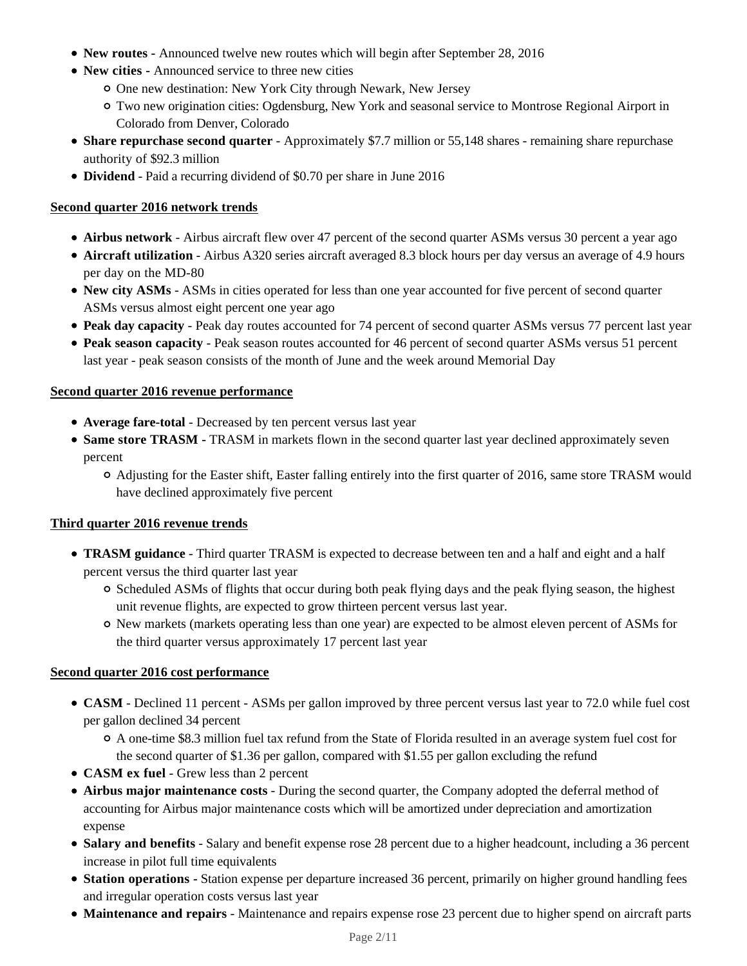- **New routes** Announced twelve new routes which will begin after September 28, 2016
- **New cities** Announced service to three new cities
	- One new destination: New York City through Newark, New Jersey
	- Two new origination cities: Ogdensburg, New York and seasonal service to Montrose Regional Airport in Colorado from Denver, Colorado
- **Share repurchase second quarter** Approximately \$7.7 million or 55,148 shares remaining share repurchase authority of \$92.3 million
- **Dividend** Paid a recurring dividend of \$0.70 per share in June 2016

## **Second quarter 2016 network trends**

- **Airbus network** Airbus aircraft flew over 47 percent of the second quarter ASMs versus 30 percent a year ago
- **Aircraft utilization** Airbus A320 series aircraft averaged 8.3 block hours per day versus an average of 4.9 hours per day on the MD-80
- New city ASMs ASMs in cities operated for less than one year accounted for five percent of second quarter ASMs versus almost eight percent one year ago
- **Peak day capacity** Peak day routes accounted for 74 percent of second quarter ASMs versus 77 percent last year
- **Peak season capacity** Peak season routes accounted for 46 percent of second quarter ASMs versus 51 percent last year - peak season consists of the month of June and the week around Memorial Day

### **Second quarter 2016 revenue performance**

- **Average fare-total** Decreased by ten percent versus last year
- **Same store TRASM -** TRASM in markets flown in the second quarter last year declined approximately seven percent
	- Adjusting for the Easter shift, Easter falling entirely into the first quarter of 2016, same store TRASM would have declined approximately five percent

# **Third quarter 2016 revenue trends**

- **TRASM guidance** Third quarter TRASM is expected to decrease between ten and a half and eight and a half percent versus the third quarter last year
	- o Scheduled ASMs of flights that occur during both peak flying days and the peak flying season, the highest unit revenue flights, are expected to grow thirteen percent versus last year.
	- New markets (markets operating less than one year) are expected to be almost eleven percent of ASMs for the third quarter versus approximately 17 percent last year

### **Second quarter 2016 cost performance**

- **CASM** Declined 11 percent ASMs per gallon improved by three percent versus last year to 72.0 while fuel cost per gallon declined 34 percent
	- A one-time \$8.3 million fuel tax refund from the State of Florida resulted in an average system fuel cost for the second quarter of \$1.36 per gallon, compared with \$1.55 per gallon excluding the refund
- **CASM ex fuel** Grew less than 2 percent
- **Airbus major maintenance costs** During the second quarter, the Company adopted the deferral method of accounting for Airbus major maintenance costs which will be amortized under depreciation and amortization expense
- **Salary and benefits** Salary and benefit expense rose 28 percent due to a higher headcount, including a 36 percent increase in pilot full time equivalents
- **Station operations -** Station expense per departure increased 36 percent, primarily on higher ground handling fees and irregular operation costs versus last year
- **Maintenance and repairs**  Maintenance and repairs expense rose 23 percent due to higher spend on aircraft parts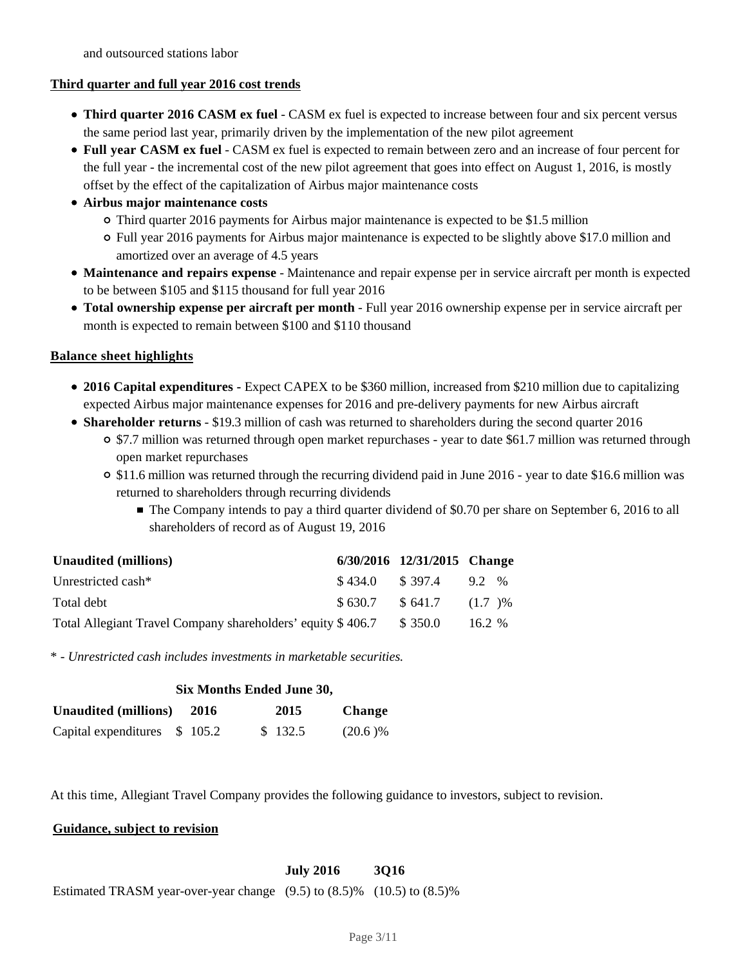and outsourced stations labor

# **Third quarter and full year 2016 cost trends**

- **Third quarter 2016 CASM ex fuel** CASM ex fuel is expected to increase between four and six percent versus the same period last year, primarily driven by the implementation of the new pilot agreement
- **Full year CASM ex fuel** CASM ex fuel is expected to remain between zero and an increase of four percent for the full year - the incremental cost of the new pilot agreement that goes into effect on August 1, 2016, is mostly offset by the effect of the capitalization of Airbus major maintenance costs
- **Airbus major maintenance costs**
	- $\circ$  Third quarter 2016 payments for Airbus major maintenance is expected to be \$1.5 million
	- Full year 2016 payments for Airbus major maintenance is expected to be slightly above \$17.0 million and amortized over an average of 4.5 years
- **Maintenance and repairs expense** Maintenance and repair expense per in service aircraft per month is expected to be between \$105 and \$115 thousand for full year 2016
- **Total ownership expense per aircraft per month** Full year 2016 ownership expense per in service aircraft per month is expected to remain between \$100 and \$110 thousand

# **Balance sheet highlights**

- **2016 Capital expenditures** Expect CAPEX to be \$360 million, increased from \$210 million due to capitalizing expected Airbus major maintenance expenses for 2016 and pre-delivery payments for new Airbus aircraft
- **Shareholder returns** \$19.3 million of cash was returned to shareholders during the second quarter 2016
	- \$7.7 million was returned through open market repurchases year to date \$61.7 million was returned through open market repurchases
	- \$11.6 million was returned through the recurring dividend paid in June 2016 year to date \$16.6 million was returned to shareholders through recurring dividends
		- The Company intends to pay a third quarter dividend of \$0.70 per share on September 6, 2016 to all shareholders of record as of August 19, 2016

| Unaudited (millions)                                                |                 | 6/30/2016 12/31/2015 Change |            |  |
|---------------------------------------------------------------------|-----------------|-----------------------------|------------|--|
| Unrestricted cash*                                                  | \$434.0 \$397.4 |                             | 9.2 %      |  |
| Total debt                                                          | \$630.7 \$641.7 |                             | $(1.7) \%$ |  |
| Total Allegiant Travel Company shareholders' equity \$406.7 \$350.0 |                 |                             | 16.2 %     |  |

\* - *Unrestricted cash includes investments in marketable securities.*

| Six Months Ended June 30,    |  |      |  |         |               |
|------------------------------|--|------|--|---------|---------------|
| Unaudited (millions)         |  | 2016 |  | 2015    | <b>Change</b> |
| Capital expenditures \$105.2 |  |      |  | \$132.5 | $(20.6)$ %    |

At this time, Allegiant Travel Company provides the following guidance to investors, subject to revision.

### **Guidance, subject to revision**

|                                                                                  | <b>July 2016</b> | 3016 |
|----------------------------------------------------------------------------------|------------------|------|
| Estimated TRASM year-over-year change $(9.5)$ to $(8.5)$ % $(10.5)$ to $(8.5)$ % |                  |      |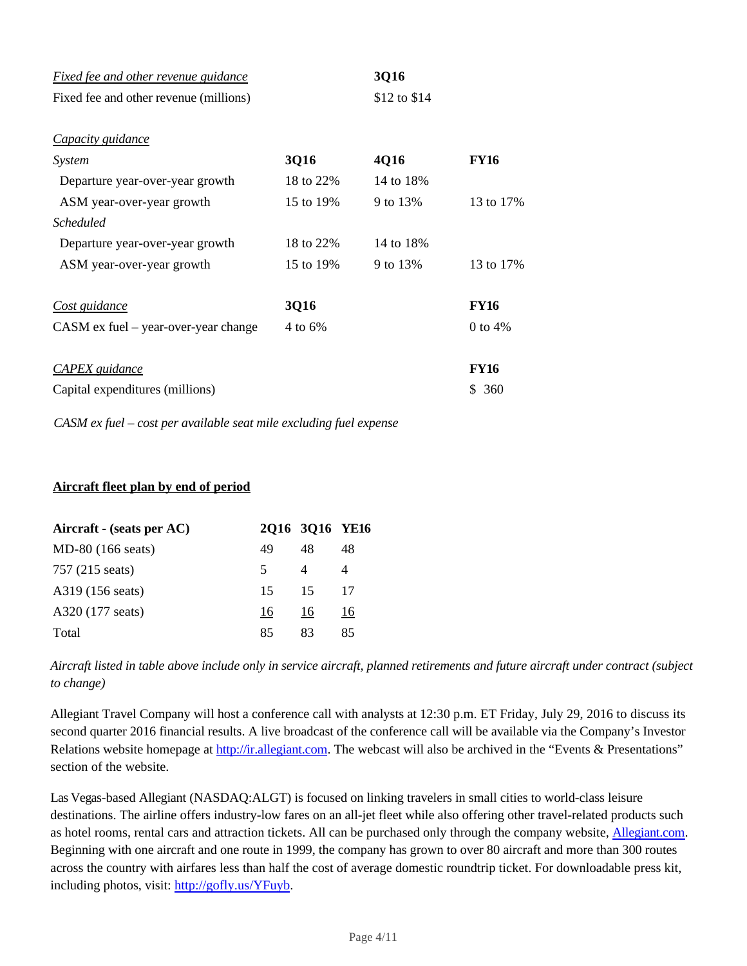| Fixed fee and other revenue guidance   |           | 3Q16         |             |
|----------------------------------------|-----------|--------------|-------------|
| Fixed fee and other revenue (millions) |           | \$12 to \$14 |             |
|                                        |           |              |             |
| <i>Capacity guidance</i>               |           |              |             |
| <i>System</i>                          | 3Q16      | 4Q16         | <b>FY16</b> |
| Departure year-over-year growth        | 18 to 22% | 14 to 18%    |             |
| ASM year-over-year growth              | 15 to 19% | 9 to 13%     | 13 to 17%   |
| <i>Scheduled</i>                       |           |              |             |
| Departure year-over-year growth        | 18 to 22% | 14 to 18%    |             |
| ASM year-over-year growth              | 15 to 19% | 9 to 13%     | 13 to 17%   |
| Cost guidance                          | 3Q16      |              | <b>FY16</b> |
| $CASM$ ex fuel – year-over-year change | 4 to 6%   |              | 0 to $4%$   |
| <b>CAPEX</b> guidance                  |           |              | <b>FY16</b> |
| Capital expenditures (millions)        |           |              | \$ 360      |

 *CASM ex fuel – cost per available seat mile excluding fuel expense*

# **Aircraft fleet plan by end of period**

| Aircraft - (seats per $AC$ ) |    | 2016 3016 YE16 |    |
|------------------------------|----|----------------|----|
| MD-80 (166 seats)            | 49 | 48             | 48 |
| 757 (215 seats)              | 5. | $\overline{4}$ |    |
| A319 (156 seats)             | 15 | 15             | 17 |
| A320 (177 seats)             | 16 | 16             | 16 |
| Total                        | 85 | 83             | 85 |

*Aircraft listed in table above include only in service aircraft, planned retirements and future aircraft under contract (subject to change)*

Allegiant Travel Company will host a conference call with analysts at 12:30 p.m. ET Friday, July 29, 2016 to discuss its second quarter 2016 financial results. A live broadcast of the conference call will be available via the Company's Investor Relations website homepage at http://ir.allegiant.com. The webcast will also be archived in the "Events & Presentations" section of the website.

Las Vegas-based Allegiant (NASDAQ:ALGT) is focused on linking travelers in small cities to world-class leisure destinations. The airline offers industry-low fares on an all-jet fleet while also offering other travel-related products such as hotel rooms, rental cars and attraction tickets. All can be purchased only through the company website, Allegiant.com. Beginning with one aircraft and one route in 1999, the company has grown to over 80 aircraft and more than 300 routes across the country with airfares less than half the cost of average domestic roundtrip ticket. For downloadable press kit, including photos, visit: http://gofly.us/YFuyb.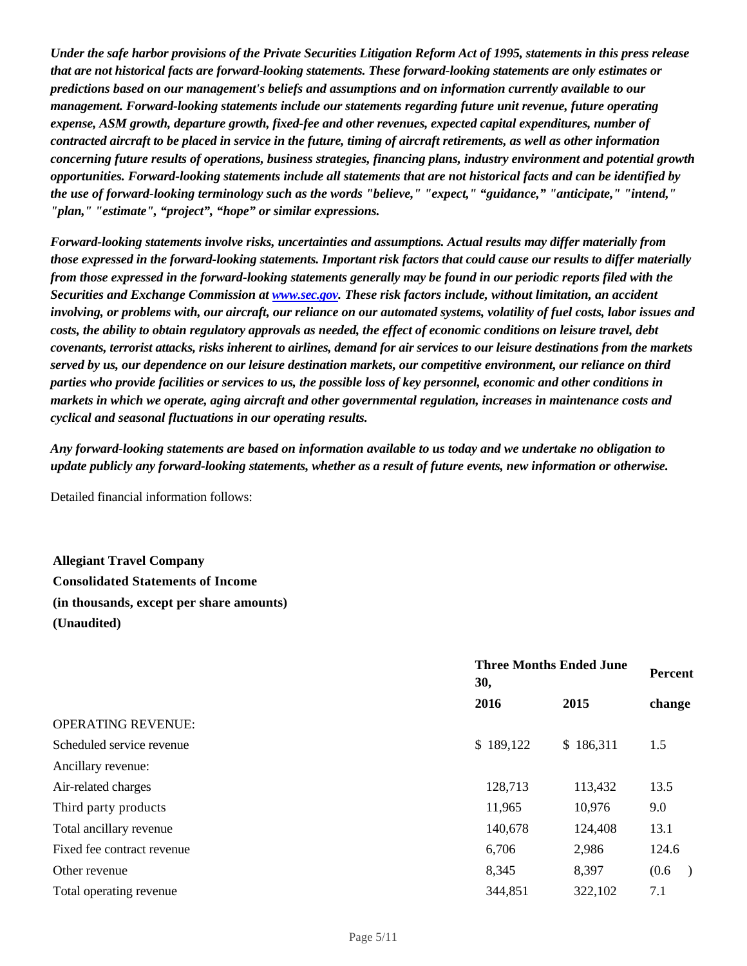*Under the safe harbor provisions of the Private Securities Litigation Reform Act of 1995, statements in this press release that are not historical facts are forward-looking statements. These forward-looking statements are only estimates or predictions based on our management's beliefs and assumptions and on information currently available to our management. Forward-looking statements include our statements regarding future unit revenue, future operating expense, ASM growth, departure growth, fixed-fee and other revenues, expected capital expenditures, number of contracted aircraft to be placed in service in the future, timing of aircraft retirements, as well as other information concerning future results of operations, business strategies, financing plans, industry environment and potential growth opportunities. Forward-looking statements include all statements that are not historical facts and can be identified by the use of forward-looking terminology such as the words "believe," "expect," "guidance," "anticipate," "intend," "plan," "estimate", "project", "hope" or similar expressions.*

*Forward-looking statements involve risks, uncertainties and assumptions. Actual results may differ materially from those expressed in the forward-looking statements. Important risk factors that could cause our results to differ materially from those expressed in the forward-looking statements generally may be found in our periodic reports filed with the Securities and Exchange Commission at www.sec.gov. These risk factors include, without limitation, an accident involving, or problems with, our aircraft, our reliance on our automated systems, volatility of fuel costs, labor issues and costs, the ability to obtain regulatory approvals as needed, the effect of economic conditions on leisure travel, debt covenants, terrorist attacks, risks inherent to airlines, demand for air services to our leisure destinations from the markets served by us, our dependence on our leisure destination markets, our competitive environment, our reliance on third parties who provide facilities or services to us, the possible loss of key personnel, economic and other conditions in markets in which we operate, aging aircraft and other governmental regulation, increases in maintenance costs and cyclical and seasonal fluctuations in our operating results.*

*Any forward-looking statements are based on information available to us today and we undertake no obligation to update publicly any forward-looking statements, whether as a result of future events, new information or otherwise.*

Detailed financial information follows:

**Allegiant Travel Company Consolidated Statements of Income (in thousands, except per share amounts) (Unaudited)**

|                            | 30,       | <b>Three Months Ended June</b> |        |  |
|----------------------------|-----------|--------------------------------|--------|--|
|                            | 2016      | 2015                           | change |  |
| <b>OPERATING REVENUE:</b>  |           |                                |        |  |
| Scheduled service revenue  | \$189,122 | \$186,311                      | 1.5    |  |
| Ancillary revenue:         |           |                                |        |  |
| Air-related charges        | 128,713   | 113,432                        | 13.5   |  |
| Third party products       | 11,965    | 10,976                         | 9.0    |  |
| Total ancillary revenue    | 140,678   | 124,408                        | 13.1   |  |
| Fixed fee contract revenue | 6,706     | 2,986                          | 124.6  |  |
| Other revenue              | 8,345     | 8,397                          | (0.6)  |  |
| Total operating revenue    | 344,851   | 322,102                        | 7.1    |  |
|                            |           |                                |        |  |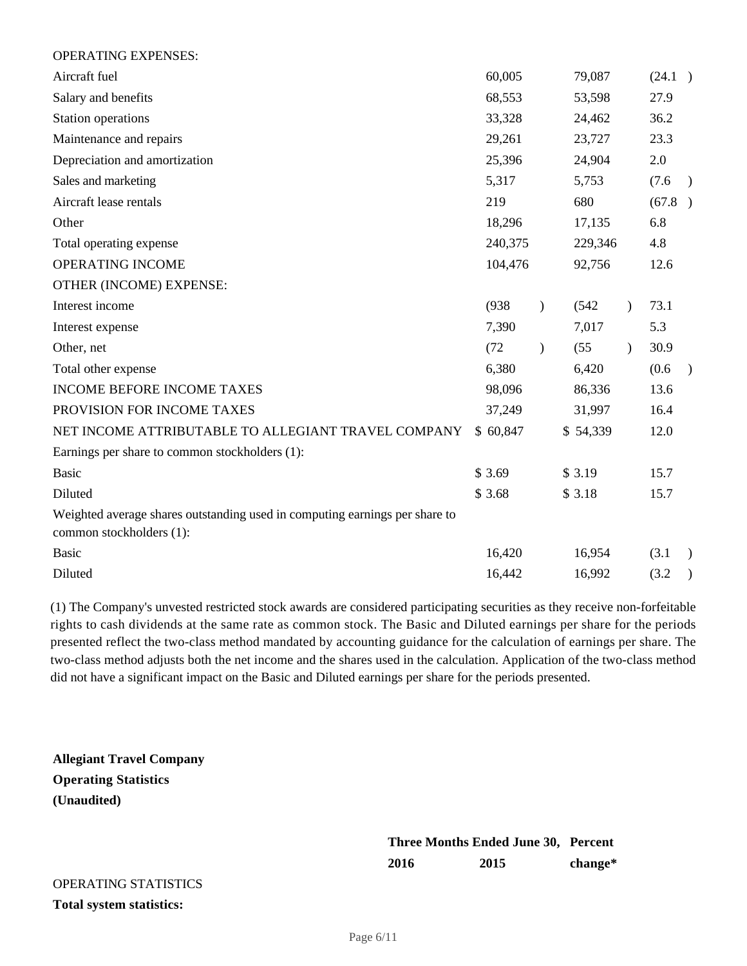| <b>OPERATING EXPENSES:</b>                                                                              |          |               |          |           |        |               |
|---------------------------------------------------------------------------------------------------------|----------|---------------|----------|-----------|--------|---------------|
| Aircraft fuel                                                                                           | 60,005   |               | 79,087   |           | (24.1) |               |
| Salary and benefits                                                                                     | 68,553   |               | 53,598   |           | 27.9   |               |
| <b>Station operations</b>                                                                               | 33,328   |               | 24,462   |           | 36.2   |               |
| Maintenance and repairs                                                                                 | 29,261   |               | 23,727   |           | 23.3   |               |
| Depreciation and amortization                                                                           | 25,396   |               | 24,904   |           | 2.0    |               |
| Sales and marketing                                                                                     | 5,317    |               | 5,753    |           | (7.6)  | $\rightarrow$ |
| Aircraft lease rentals                                                                                  | 219      |               | 680      |           | (67.8) |               |
| Other                                                                                                   | 18,296   |               | 17,135   |           | 6.8    |               |
| Total operating expense                                                                                 | 240,375  |               | 229,346  |           | 4.8    |               |
| OPERATING INCOME                                                                                        | 104,476  |               | 92,756   |           | 12.6   |               |
| OTHER (INCOME) EXPENSE:                                                                                 |          |               |          |           |        |               |
| Interest income                                                                                         | (938)    | $\lambda$     | (542)    | $\lambda$ | 73.1   |               |
| Interest expense                                                                                        | 7,390    |               | 7,017    |           | 5.3    |               |
| Other, net                                                                                              | (72)     | $\mathcal{L}$ | (55)     | $\lambda$ | 30.9   |               |
| Total other expense                                                                                     | 6,380    |               | 6,420    |           | (0.6)  | $\lambda$     |
| INCOME BEFORE INCOME TAXES                                                                              | 98,096   |               | 86,336   |           | 13.6   |               |
| PROVISION FOR INCOME TAXES                                                                              | 37,249   |               | 31,997   |           | 16.4   |               |
| NET INCOME ATTRIBUTABLE TO ALLEGIANT TRAVEL COMPANY                                                     | \$60,847 |               | \$54,339 |           | 12.0   |               |
| Earnings per share to common stockholders (1):                                                          |          |               |          |           |        |               |
| <b>Basic</b>                                                                                            | \$3.69   |               | \$3.19   |           | 15.7   |               |
| Diluted                                                                                                 | \$3.68   |               | \$3.18   |           | 15.7   |               |
| Weighted average shares outstanding used in computing earnings per share to<br>common stockholders (1): |          |               |          |           |        |               |
| <b>Basic</b>                                                                                            | 16,420   |               | 16,954   |           | (3.1)  | $\lambda$     |
| Diluted                                                                                                 | 16,442   |               | 16,992   |           | (3.2)  | $\mathcal{L}$ |
|                                                                                                         |          |               |          |           |        |               |

(1) The Company's unvested restricted stock awards are considered participating securities as they receive non-forfeitable rights to cash dividends at the same rate as common stock. The Basic and Diluted earnings per share for the periods presented reflect the two-class method mandated by accounting guidance for the calculation of earnings per share. The two-class method adjusts both the net income and the shares used in the calculation. Application of the two-class method did not have a significant impact on the Basic and Diluted earnings per share for the periods presented.

**Allegiant Travel Company Operating Statistics (Unaudited)**

|                             |      | Three Months Ended June 30, Percent |         |
|-----------------------------|------|-------------------------------------|---------|
|                             | 2016 | 2015                                | change* |
| <b>OPERATING STATISTICS</b> |      |                                     |         |

**Total system statistics:**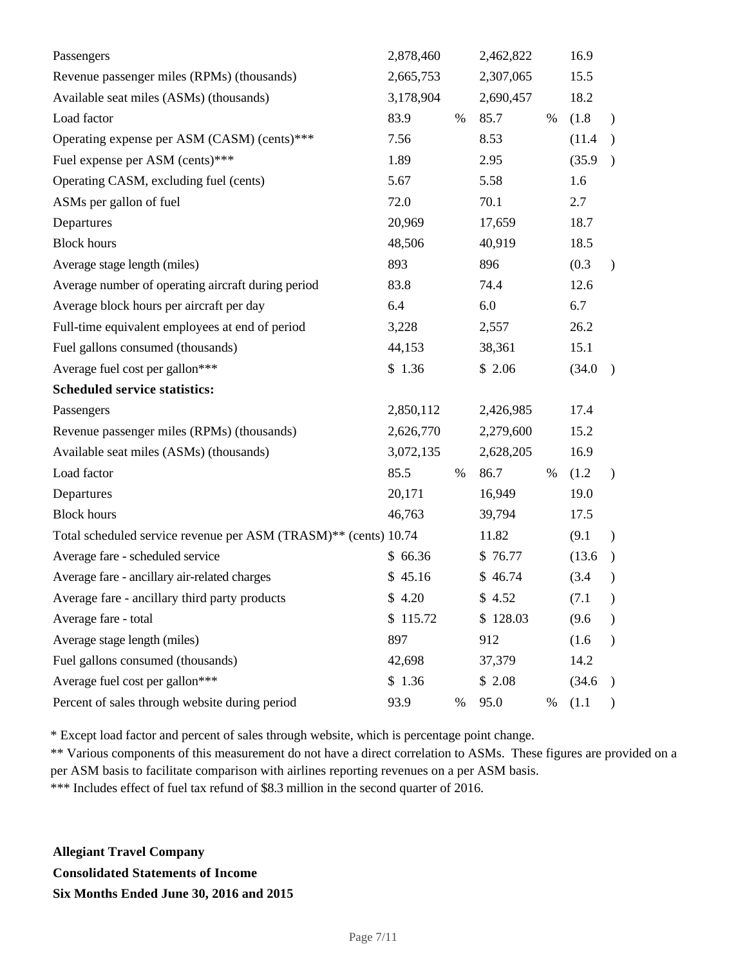| Passengers                                                      | 2,878,460 |      | 2,462,822 |      | 16.9   |               |
|-----------------------------------------------------------------|-----------|------|-----------|------|--------|---------------|
| Revenue passenger miles (RPMs) (thousands)                      | 2,665,753 |      | 2,307,065 |      | 15.5   |               |
| Available seat miles (ASMs) (thousands)                         | 3,178,904 |      | 2,690,457 |      | 18.2   |               |
| Load factor                                                     | 83.9      | %    | 85.7      | %    | (1.8)  | $\lambda$     |
| Operating expense per ASM (CASM) (cents)***                     | 7.56      |      | 8.53      |      | (11.4) | $\lambda$     |
| Fuel expense per ASM (cents)***                                 | 1.89      |      | 2.95      |      | (35.9) | $\lambda$     |
| Operating CASM, excluding fuel (cents)                          | 5.67      |      | 5.58      |      | 1.6    |               |
| ASMs per gallon of fuel                                         | 72.0      |      | 70.1      |      | 2.7    |               |
| Departures                                                      | 20,969    |      | 17,659    |      | 18.7   |               |
| <b>Block hours</b>                                              | 48,506    |      | 40,919    |      | 18.5   |               |
| Average stage length (miles)                                    | 893       |      | 896       |      | (0.3)  | $\lambda$     |
| Average number of operating aircraft during period              | 83.8      |      | 74.4      |      | 12.6   |               |
| Average block hours per aircraft per day                        | 6.4       |      | 6.0       |      | 6.7    |               |
| Full-time equivalent employees at end of period                 | 3,228     |      | 2,557     |      | 26.2   |               |
| Fuel gallons consumed (thousands)                               | 44,153    |      | 38,361    |      | 15.1   |               |
| Average fuel cost per gallon***                                 | \$1.36    |      | \$2.06    |      | (34.0) | $\lambda$     |
| <b>Scheduled service statistics:</b>                            |           |      |           |      |        |               |
| Passengers                                                      | 2,850,112 |      | 2,426,985 |      | 17.4   |               |
| Revenue passenger miles (RPMs) (thousands)                      | 2,626,770 |      | 2,279,600 |      | 15.2   |               |
| Available seat miles (ASMs) (thousands)                         | 3,072,135 |      | 2,628,205 |      | 16.9   |               |
| Load factor                                                     | 85.5      | $\%$ | 86.7      | %    | (1.2)  | $\mathcal{L}$ |
| Departures                                                      | 20,171    |      | 16,949    |      | 19.0   |               |
| <b>Block hours</b>                                              | 46,763    |      | 39,794    |      | 17.5   |               |
| Total scheduled service revenue per ASM (TRASM)** (cents) 10.74 |           |      | 11.82     |      | (9.1)  | $\lambda$     |
| Average fare - scheduled service                                | \$66.36   |      | \$76.77   |      | (13.6) | $\lambda$     |
| Average fare - ancillary air-related charges                    | \$45.16   |      | \$46.74   |      | (3.4)  | $\lambda$     |
| Average fare - ancillary third party products                   | \$ 4.20   |      | \$4.52    |      | (7.1)  |               |
| Average fare - total                                            | \$115.72  |      | \$128.03  |      | (9.6)  |               |
| Average stage length (miles)                                    | 897       |      | 912       |      | (1.6)  | $\lambda$     |
| Fuel gallons consumed (thousands)                               | 42,698    |      | 37,379    |      | 14.2   |               |
| Average fuel cost per gallon***                                 | \$1.36    |      | \$2.08    |      | (34.6) |               |
| Percent of sales through website during period                  | 93.9      | $\%$ | 95.0      | $\%$ | (1.1)  |               |

\* Except load factor and percent of sales through website, which is percentage point change.

\*\* Various components of this measurement do not have a direct correlation to ASMs. These figures are provided on a per ASM basis to facilitate comparison with airlines reporting revenues on a per ASM basis.

\*\*\* Includes effect of fuel tax refund of \$8.3 million in the second quarter of 2016.

**Allegiant Travel Company Consolidated Statements of Income Six Months Ended June 30, 2016 and 2015**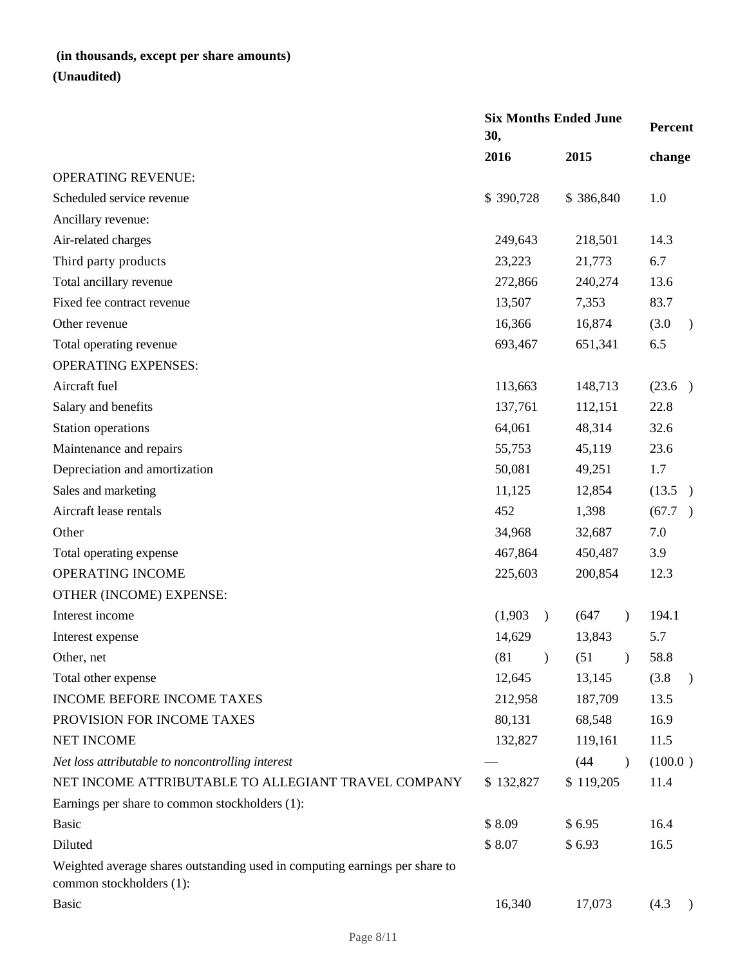# **(in thousands, except per share amounts) (Unaudited)**

|                                                                                                         | <b>Six Months Ended June</b><br>30, | <b>Percent</b>        |                        |  |
|---------------------------------------------------------------------------------------------------------|-------------------------------------|-----------------------|------------------------|--|
|                                                                                                         | 2016                                | 2015                  | change                 |  |
| <b>OPERATING REVENUE:</b>                                                                               |                                     |                       |                        |  |
| Scheduled service revenue                                                                               | \$390,728                           | \$386,840             | 1.0                    |  |
| Ancillary revenue:                                                                                      |                                     |                       |                        |  |
| Air-related charges                                                                                     | 249,643                             | 218,501               | 14.3                   |  |
| Third party products                                                                                    | 23,223                              | 21,773                | 6.7                    |  |
| Total ancillary revenue                                                                                 | 272,866                             | 240,274               | 13.6                   |  |
| Fixed fee contract revenue                                                                              | 13,507                              | 7,353                 | 83.7                   |  |
| Other revenue                                                                                           | 16,366                              | 16,874                | (3.0)<br>$\rightarrow$ |  |
| Total operating revenue                                                                                 | 693,467                             | 651,341               | 6.5                    |  |
| <b>OPERATING EXPENSES:</b>                                                                              |                                     |                       |                        |  |
| Aircraft fuel                                                                                           | 113,663                             | 148,713               | (23.6)                 |  |
| Salary and benefits                                                                                     | 137,761                             | 112,151               | 22.8                   |  |
| <b>Station operations</b>                                                                               | 64,061                              | 48,314                | 32.6                   |  |
| Maintenance and repairs                                                                                 | 55,753                              | 45,119                | 23.6                   |  |
| Depreciation and amortization                                                                           | 50,081                              | 49,251                | 1.7                    |  |
| Sales and marketing                                                                                     | 11,125                              | 12,854                | (13.5)                 |  |
| Aircraft lease rentals                                                                                  | 452                                 | 1,398                 | (67.7)                 |  |
| Other                                                                                                   | 34,968                              | 32,687                | 7.0                    |  |
| Total operating expense                                                                                 | 467,864                             | 450,487               | 3.9                    |  |
| OPERATING INCOME                                                                                        | 225,603                             | 200,854               | 12.3                   |  |
| OTHER (INCOME) EXPENSE:                                                                                 |                                     |                       |                        |  |
| Interest income                                                                                         | (1,903)<br>$\lambda$                | (647)<br>$\lambda$    | 194.1                  |  |
| Interest expense                                                                                        | 14,629                              | 13,843                | 5.7                    |  |
| Other, net                                                                                              | (81)<br>$\rightarrow$               | (51)<br>$\rightarrow$ | 58.8                   |  |
| Total other expense                                                                                     | 12,645                              | 13,145                | (3.8)<br>$\rightarrow$ |  |
| INCOME BEFORE INCOME TAXES                                                                              | 212,958                             | 187,709               | 13.5                   |  |
| PROVISION FOR INCOME TAXES                                                                              | 80,131                              | 68,548                | 16.9                   |  |
| NET INCOME                                                                                              | 132,827                             | 119,161               | 11.5                   |  |
| Net loss attributable to noncontrolling interest                                                        |                                     | (44)<br>$\rightarrow$ | (100.0)                |  |
| NET INCOME ATTRIBUTABLE TO ALLEGIANT TRAVEL COMPANY                                                     | \$132,827                           | \$119,205             | 11.4                   |  |
| Earnings per share to common stockholders (1):                                                          |                                     |                       |                        |  |
| <b>Basic</b>                                                                                            | \$8.09                              | \$6.95                | 16.4                   |  |
| Diluted                                                                                                 | \$8.07                              | \$6.93                | 16.5                   |  |
| Weighted average shares outstanding used in computing earnings per share to<br>common stockholders (1): |                                     |                       |                        |  |
| <b>Basic</b>                                                                                            | 16,340                              | 17,073                | (4.3)                  |  |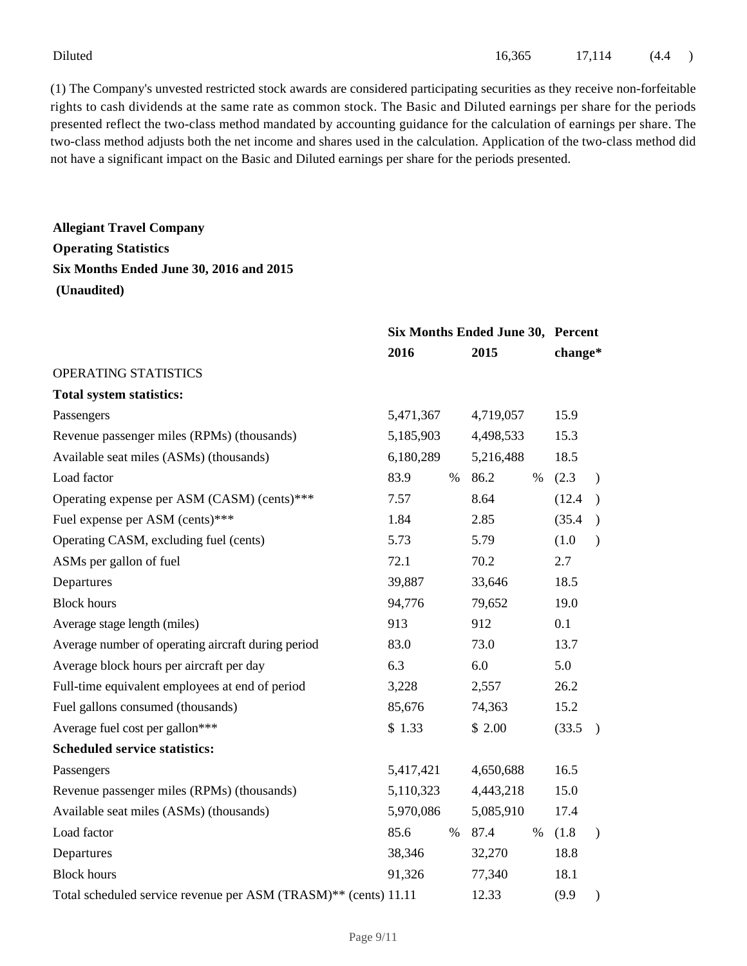(1) The Company's unvested restricted stock awards are considered participating securities as they receive non-forfeitable rights to cash dividends at the same rate as common stock. The Basic and Diluted earnings per share for the periods presented reflect the two-class method mandated by accounting guidance for the calculation of earnings per share. The two-class method adjusts both the net income and shares used in the calculation. Application of the two-class method did not have a significant impact on the Basic and Diluted earnings per share for the periods presented.

**Allegiant Travel Company Operating Statistics Six Months Ended June 30, 2016 and 2015 (Unaudited)**

|                                                                 | <b>Six Months Ended June 30, Percent</b> |      |           |      |         |               |
|-----------------------------------------------------------------|------------------------------------------|------|-----------|------|---------|---------------|
|                                                                 | 2016                                     |      | 2015      |      | change* |               |
| OPERATING STATISTICS                                            |                                          |      |           |      |         |               |
| <b>Total system statistics:</b>                                 |                                          |      |           |      |         |               |
| Passengers                                                      | 5,471,367                                |      | 4,719,057 |      | 15.9    |               |
| Revenue passenger miles (RPMs) (thousands)                      | 5,185,903                                |      | 4,498,533 |      | 15.3    |               |
| Available seat miles (ASMs) (thousands)                         | 6,180,289                                |      | 5,216,488 |      | 18.5    |               |
| Load factor                                                     | 83.9                                     | $\%$ | 86.2      | $\%$ | (2.3)   | $\lambda$     |
| Operating expense per ASM (CASM) (cents)***                     | 7.57                                     |      | 8.64      |      | (12.4)  | $\lambda$     |
| Fuel expense per ASM (cents)***                                 | 1.84                                     |      | 2.85      |      | (35.4)  | $\lambda$     |
| Operating CASM, excluding fuel (cents)                          | 5.73                                     |      | 5.79      |      | (1.0)   | $\mathcal{E}$ |
| ASMs per gallon of fuel                                         | 72.1                                     |      | 70.2      |      | 2.7     |               |
| Departures                                                      | 39,887                                   |      | 33,646    |      | 18.5    |               |
| <b>Block hours</b>                                              | 94,776                                   |      | 79,652    |      | 19.0    |               |
| Average stage length (miles)                                    | 913                                      |      | 912       |      | 0.1     |               |
| Average number of operating aircraft during period              | 83.0                                     |      | 73.0      |      | 13.7    |               |
| Average block hours per aircraft per day                        | 6.3                                      |      | 6.0       |      | 5.0     |               |
| Full-time equivalent employees at end of period                 | 3,228                                    |      | 2,557     |      | 26.2    |               |
| Fuel gallons consumed (thousands)                               | 85,676                                   |      | 74,363    |      | 15.2    |               |
| Average fuel cost per gallon***                                 | \$1.33                                   |      | \$2.00    |      | (33.5)  | $\lambda$     |
| <b>Scheduled service statistics:</b>                            |                                          |      |           |      |         |               |
| Passengers                                                      | 5,417,421                                |      | 4,650,688 |      | 16.5    |               |
| Revenue passenger miles (RPMs) (thousands)                      | 5,110,323                                |      | 4,443,218 |      | 15.0    |               |
| Available seat miles (ASMs) (thousands)                         | 5,970,086                                |      | 5,085,910 |      | 17.4    |               |
| Load factor                                                     | 85.6                                     | $\%$ | 87.4      | %    | (1.8)   | $\mathcal{E}$ |
| Departures                                                      | 38,346                                   |      | 32,270    |      | 18.8    |               |
| <b>Block hours</b>                                              | 91,326                                   |      | 77,340    |      | 18.1    |               |
| Total scheduled service revenue per ASM (TRASM)** (cents) 11.11 |                                          |      | 12.33     |      | (9.9)   | $\mathcal{E}$ |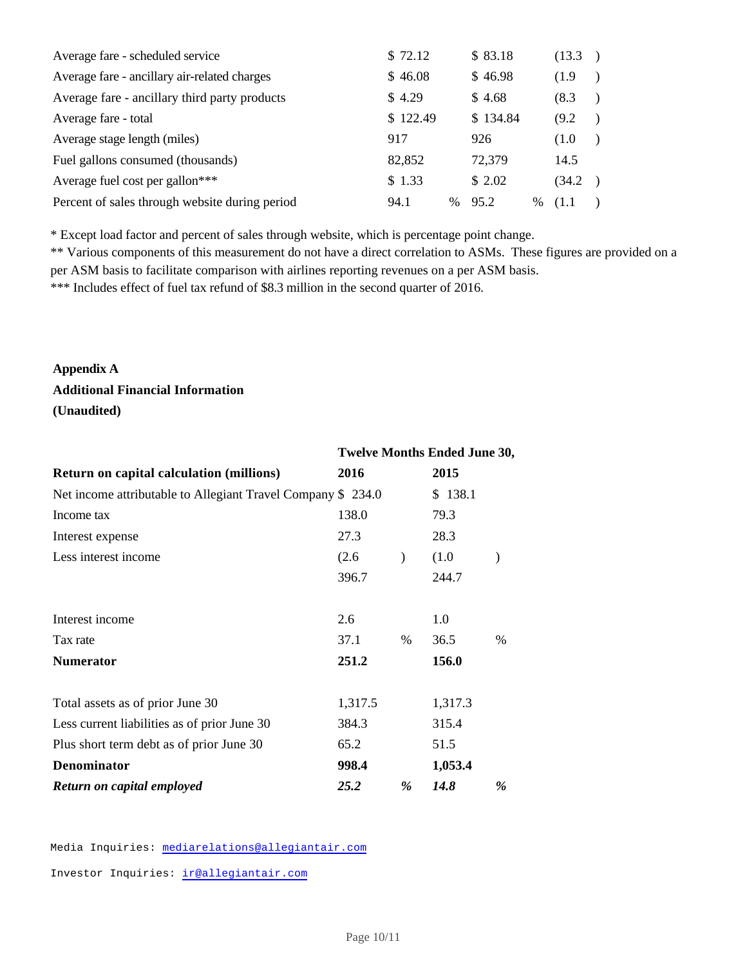| Average fare - scheduled service               | \$72.12      | \$83.18      | (13.3) |  |
|------------------------------------------------|--------------|--------------|--------|--|
| Average fare - ancillary air-related charges   | \$46.08      | \$46.98      | (1.9)  |  |
| Average fare - ancillary third party products  | \$4.29       | \$4.68       | (8.3)  |  |
| Average fare - total                           | \$122.49     | \$134.84     | (9.2)  |  |
| Average stage length (miles)                   | 917          | 926          | (1.0)  |  |
| Fuel gallons consumed (thousands)              | 82,852       | 72.379       | 14.5   |  |
| Average fuel cost per gallon***                | \$1.33       | \$2.02       | (34.2) |  |
| Percent of sales through website during period | 94.1<br>$\%$ | 95.2<br>$\%$ | (1.1)  |  |

\* Except load factor and percent of sales through website, which is percentage point change.

\*\* Various components of this measurement do not have a direct correlation to ASMs. These figures are provided on a per ASM basis to facilitate comparison with airlines reporting revenues on a per ASM basis.

\*\*\* Includes effect of fuel tax refund of \$8.3 million in the second quarter of 2016.

# **Appendix A Additional Financial Information (Unaudited)**

|                                                             | <b>Twelve Months Ended June 30,</b> |               |         |      |  |
|-------------------------------------------------------------|-------------------------------------|---------------|---------|------|--|
| Return on capital calculation (millions)                    | 2016                                |               | 2015    |      |  |
| Net income attributable to Allegiant Travel Company \$234.0 |                                     |               | \$138.1 |      |  |
| Income tax                                                  | 138.0                               |               | 79.3    |      |  |
| Interest expense                                            | 27.3                                |               | 28.3    |      |  |
| Less interest income                                        | (2.6)                               | $\mathcal{E}$ | (1.0)   |      |  |
|                                                             | 396.7                               |               | 244.7   |      |  |
| Interest income                                             | 2.6                                 |               | 1.0     |      |  |
| Tax rate                                                    | 37.1                                | $\%$          | 36.5    | $\%$ |  |
| <b>Numerator</b>                                            | 251.2                               |               | 156.0   |      |  |
| Total assets as of prior June 30                            | 1,317.5                             |               | 1,317.3 |      |  |
| Less current liabilities as of prior June 30                | 384.3                               |               | 315.4   |      |  |
| Plus short term debt as of prior June 30                    | 65.2                                |               | 51.5    |      |  |
| <b>Denominator</b>                                          | 998.4                               |               | 1,053.4 |      |  |
| Return on capital employed                                  | 25.2                                | %             | 14.8    | %    |  |

Media Inquiries: mediarelations@allegiantair.com

Investor Inquiries: ir@allegiantair.com